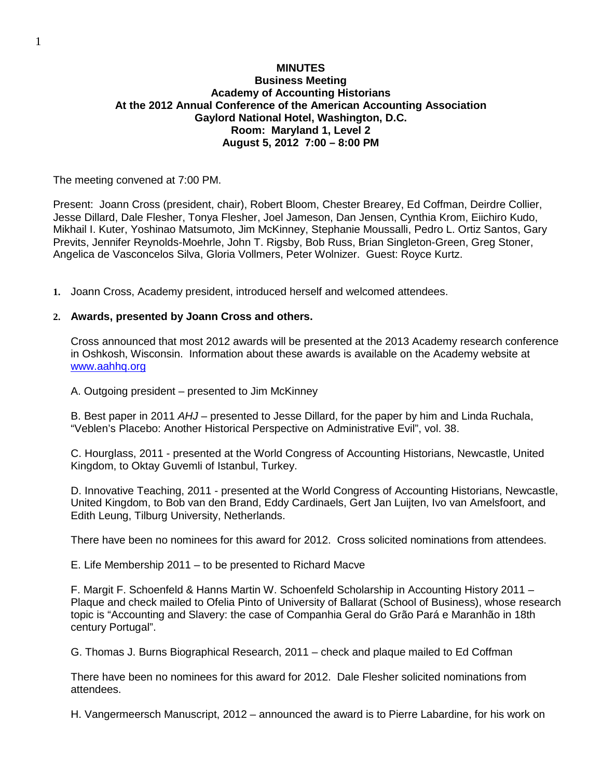# **MINUTES Business Meeting Academy of Accounting Historians At the 2012 Annual Conference of the American Accounting Association Gaylord National Hotel, Washington, D.C. Room: Maryland 1, Level 2 August 5, 2012 7:00 – 8:00 PM**

The meeting convened at 7:00 PM.

Present: Joann Cross (president, chair), Robert Bloom, Chester Brearey, Ed Coffman, Deirdre Collier, Jesse Dillard, Dale Flesher, Tonya Flesher, Joel Jameson, Dan Jensen, Cynthia Krom, Eiichiro Kudo, Mikhail I. Kuter, Yoshinao Matsumoto, Jim McKinney, Stephanie Moussalli, Pedro L. Ortiz Santos, Gary Previts, Jennifer Reynolds-Moehrle, John T. Rigsby, Bob Russ, Brian Singleton-Green, Greg Stoner, Angelica de Vasconcelos Silva, Gloria Vollmers, Peter Wolnizer. Guest: Royce Kurtz.

**1.** Joann Cross, Academy president, introduced herself and welcomed attendees.

#### **2. Awards, presented by Joann Cross and others.**

Cross announced that most 2012 awards will be presented at the 2013 Academy research conference in Oshkosh, Wisconsin. Information about these awards is available on the Academy website at [www.aahhq.org](http://www.aahhq.org/)

A. Outgoing president – presented to Jim McKinney

B. Best paper in 2011 *AHJ* – presented to Jesse Dillard, for the paper by him and Linda Ruchala, "Veblen's Placebo: Another Historical Perspective on Administrative Evil", vol. 38.

C. Hourglass, 2011 - presented at the World Congress of Accounting Historians, Newcastle, United Kingdom, to Oktay Guvemli of Istanbul, Turkey.

D. Innovative Teaching, 2011 - presented at the World Congress of Accounting Historians, Newcastle, United Kingdom, to Bob van den Brand, Eddy Cardinaels, Gert Jan Luijten, Ivo van Amelsfoort, and Edith Leung, Tilburg University, Netherlands.

There have been no nominees for this award for 2012. Cross solicited nominations from attendees.

E. Life Membership 2011 – to be presented to Richard Macve

F. Margit F. Schoenfeld & Hanns Martin W. Schoenfeld Scholarship in Accounting History 2011 – Plaque and check mailed to Ofelia Pinto of University of Ballarat (School of Business), whose research topic is "Accounting and Slavery: the case of Companhia Geral do Grão Pará e Maranhão in 18th century Portugal".

G. Thomas J. Burns Biographical Research, 2011 – check and plaque mailed to Ed Coffman

There have been no nominees for this award for 2012. Dale Flesher solicited nominations from attendees.

H. Vangermeersch Manuscript, 2012 – announced the award is to Pierre Labardine, for his work on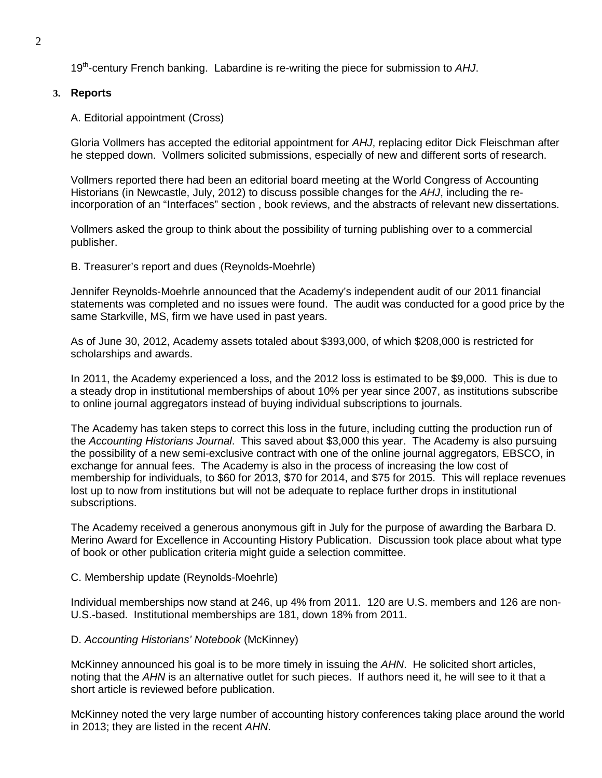19th-century French banking. Labardine is re-writing the piece for submission to *AHJ*.

### **3. Reports**

A. Editorial appointment (Cross)

Gloria Vollmers has accepted the editorial appointment for *AHJ*, replacing editor Dick Fleischman after he stepped down. Vollmers solicited submissions, especially of new and different sorts of research.

Vollmers reported there had been an editorial board meeting at the World Congress of Accounting Historians (in Newcastle, July, 2012) to discuss possible changes for the *AHJ*, including the reincorporation of an "Interfaces" section , book reviews, and the abstracts of relevant new dissertations.

Vollmers asked the group to think about the possibility of turning publishing over to a commercial publisher.

B. Treasurer's report and dues (Reynolds-Moehrle)

Jennifer Reynolds-Moehrle announced that the Academy's independent audit of our 2011 financial statements was completed and no issues were found. The audit was conducted for a good price by the same Starkville, MS, firm we have used in past years.

As of June 30, 2012, Academy assets totaled about \$393,000, of which \$208,000 is restricted for scholarships and awards.

In 2011, the Academy experienced a loss, and the 2012 loss is estimated to be \$9,000. This is due to a steady drop in institutional memberships of about 10% per year since 2007, as institutions subscribe to online journal aggregators instead of buying individual subscriptions to journals.

The Academy has taken steps to correct this loss in the future, including cutting the production run of the *Accounting Historians Journal*. This saved about \$3,000 this year. The Academy is also pursuing the possibility of a new semi-exclusive contract with one of the online journal aggregators, EBSCO, in exchange for annual fees. The Academy is also in the process of increasing the low cost of membership for individuals, to \$60 for 2013, \$70 for 2014, and \$75 for 2015. This will replace revenues lost up to now from institutions but will not be adequate to replace further drops in institutional subscriptions.

The Academy received a generous anonymous gift in July for the purpose of awarding the Barbara D. Merino Award for Excellence in Accounting History Publication. Discussion took place about what type of book or other publication criteria might guide a selection committee.

## C. Membership update (Reynolds-Moehrle)

Individual memberships now stand at 246, up 4% from 2011. 120 are U.S. members and 126 are non-U.S.-based. Institutional memberships are 181, down 18% from 2011.

#### D. *Accounting Historians' Notebook* (McKinney)

McKinney announced his goal is to be more timely in issuing the *AHN*. He solicited short articles, noting that the *AHN* is an alternative outlet for such pieces. If authors need it, he will see to it that a short article is reviewed before publication.

McKinney noted the very large number of accounting history conferences taking place around the world in 2013; they are listed in the recent *AHN*.

2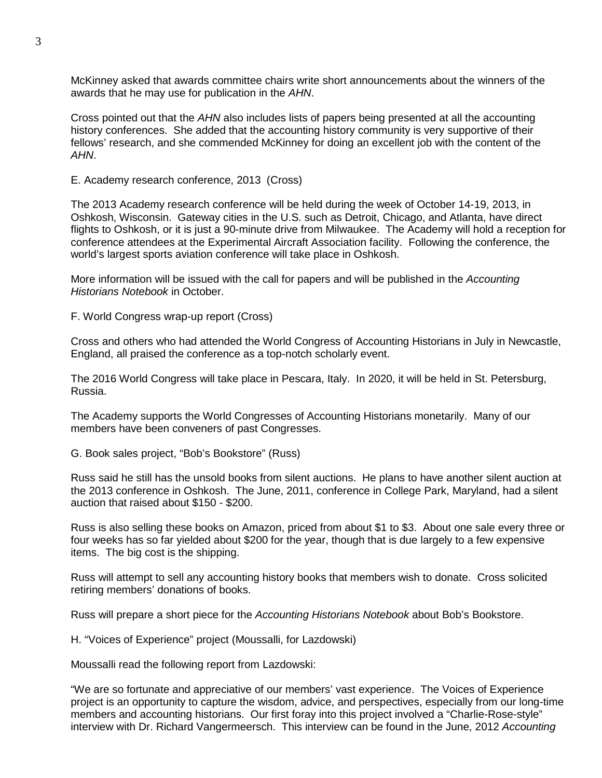McKinney asked that awards committee chairs write short announcements about the winners of the awards that he may use for publication in the *AHN*.

Cross pointed out that the *AHN* also includes lists of papers being presented at all the accounting history conferences. She added that the accounting history community is very supportive of their fellows' research, and she commended McKinney for doing an excellent job with the content of the *AHN*.

E. Academy research conference, 2013 (Cross)

The 2013 Academy research conference will be held during the week of October 14-19, 2013, in Oshkosh, Wisconsin. Gateway cities in the U.S. such as Detroit, Chicago, and Atlanta, have direct flights to Oshkosh, or it is just a 90-minute drive from Milwaukee. The Academy will hold a reception for conference attendees at the Experimental Aircraft Association facility. Following the conference, the world's largest sports aviation conference will take place in Oshkosh.

More information will be issued with the call for papers and will be published in the *Accounting Historians Notebook* in October.

F. World Congress wrap-up report (Cross)

Cross and others who had attended the World Congress of Accounting Historians in July in Newcastle, England, all praised the conference as a top-notch scholarly event.

The 2016 World Congress will take place in Pescara, Italy. In 2020, it will be held in St. Petersburg, Russia.

The Academy supports the World Congresses of Accounting Historians monetarily. Many of our members have been conveners of past Congresses.

G. Book sales project, "Bob's Bookstore" (Russ)

Russ said he still has the unsold books from silent auctions. He plans to have another silent auction at the 2013 conference in Oshkosh. The June, 2011, conference in College Park, Maryland, had a silent auction that raised about \$150 - \$200.

Russ is also selling these books on Amazon, priced from about \$1 to \$3. About one sale every three or four weeks has so far yielded about \$200 for the year, though that is due largely to a few expensive items. The big cost is the shipping.

Russ will attempt to sell any accounting history books that members wish to donate. Cross solicited retiring members' donations of books.

Russ will prepare a short piece for the *Accounting Historians Notebook* about Bob's Bookstore.

H. "Voices of Experience" project (Moussalli, for Lazdowski)

Moussalli read the following report from Lazdowski:

"We are so fortunate and appreciative of our members' vast experience. The Voices of Experience project is an opportunity to capture the wisdom, advice, and perspectives, especially from our long-time members and accounting historians. Our first foray into this project involved a "Charlie-Rose-style" interview with Dr. Richard Vangermeersch. This interview can be found in the June, 2012 *Accounting*